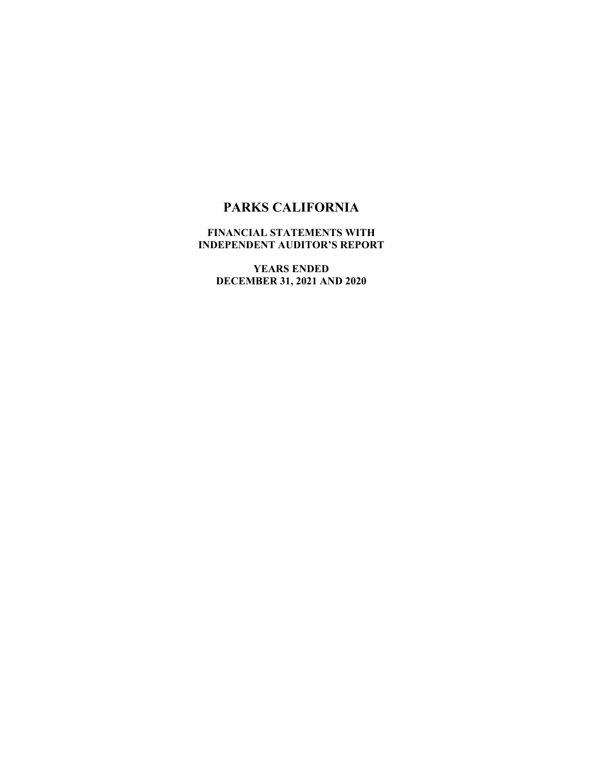### **FINANCIAL STATEMENTS WITH INDEPENDENT AUDITOR'S REPORT**

**YEARS ENDED DECEMBER 31, 2021 AND 2020**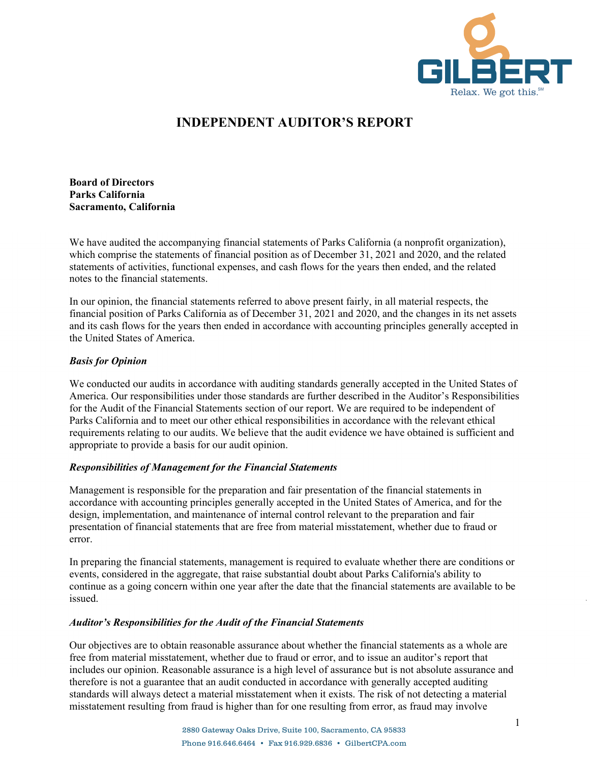

## **INDEPENDENT AUDITOR'S REPORT**

**Board of Directors Parks California Sacramento, California** 

We have audited the accompanying financial statements of Parks California (a nonprofit organization), which comprise the statements of financial position as of December 31, 2021 and 2020, and the related statements of activities, functional expenses, and cash flows for the years then ended, and the related notes to the financial statements.

In our opinion, the financial statements referred to above present fairly, in all material respects, the financial position of Parks California as of December 31, 2021 and 2020, and the changes in its net assets and its cash flows for the years then ended in accordance with accounting principles generally accepted in the United States of America.

#### *Basis for Opinion*

We conducted our audits in accordance with auditing standards generally accepted in the United States of America. Our responsibilities under those standards are further described in the Auditor's Responsibilities for the Audit of the Financial Statements section of our report. We are required to be independent of Parks California and to meet our other ethical responsibilities in accordance with the relevant ethical requirements relating to our audits. We believe that the audit evidence we have obtained is sufficient and appropriate to provide a basis for our audit opinion.

#### *Responsibilities of Management for the Financial Statements*

Management is responsible for the preparation and fair presentation of the financial statements in accordance with accounting principles generally accepted in the United States of America, and for the design, implementation, and maintenance of internal control relevant to the preparation and fair presentation of financial statements that are free from material misstatement, whether due to fraud or error.

In preparing the financial statements, management is required to evaluate whether there are conditions or events, considered in the aggregate, that raise substantial doubt about Parks California's ability to continue as a going concern within one year after the date that the financial statements are available to be issued.

#### *Auditor's Responsibilities for the Audit of the Financial Statements*

Our objectives are to obtain reasonable assurance about whether the financial statements as a whole are free from material misstatement, whether due to fraud or error, and to issue an auditor's report that includes our opinion. Reasonable assurance is a high level of assurance but is not absolute assurance and therefore is not a guarantee that an audit conducted in accordance with generally accepted auditing standards will always detect a material misstatement when it exists. The risk of not detecting a material misstatement resulting from fraud is higher than for one resulting from error, as fraud may involve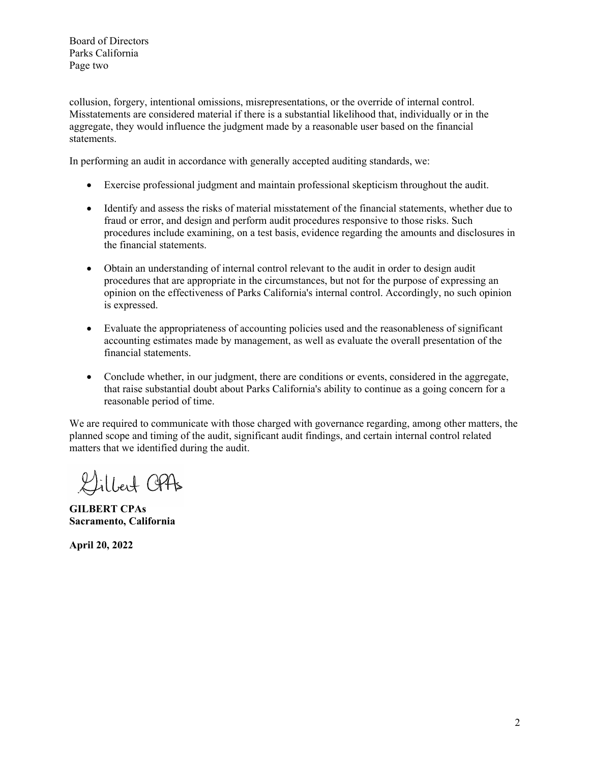Board of Directors Parks California Page two

collusion, forgery, intentional omissions, misrepresentations, or the override of internal control. Misstatements are considered material if there is a substantial likelihood that, individually or in the aggregate, they would influence the judgment made by a reasonable user based on the financial statements.

In performing an audit in accordance with generally accepted auditing standards, we:

- Exercise professional judgment and maintain professional skepticism throughout the audit.
- Identify and assess the risks of material misstatement of the financial statements, whether due to fraud or error, and design and perform audit procedures responsive to those risks. Such procedures include examining, on a test basis, evidence regarding the amounts and disclosures in the financial statements.
- Obtain an understanding of internal control relevant to the audit in order to design audit procedures that are appropriate in the circumstances, but not for the purpose of expressing an opinion on the effectiveness of Parks California's internal control. Accordingly, no such opinion is expressed.
- Evaluate the appropriateness of accounting policies used and the reasonableness of significant accounting estimates made by management, as well as evaluate the overall presentation of the financial statements.
- Conclude whether, in our judgment, there are conditions or events, considered in the aggregate, that raise substantial doubt about Parks California's ability to continue as a going concern for a reasonable period of time.

We are required to communicate with those charged with governance regarding, among other matters, the planned scope and timing of the audit, significant audit findings, and certain internal control related matters that we identified during the audit.

Gilbert OPAs

**GILBERT CPAs Sacramento, California** 

**April 20, 2022**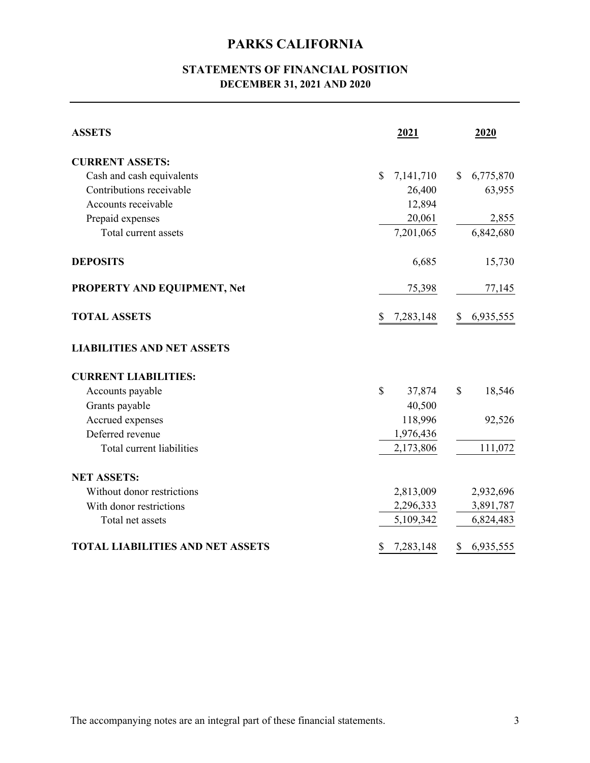## **STATEMENTS OF FINANCIAL POSITION DECEMBER 31, 2021 AND 2020**

| <b>ASSETS</b>                           | 2021            | 2020            |
|-----------------------------------------|-----------------|-----------------|
| <b>CURRENT ASSETS:</b>                  |                 |                 |
| Cash and cash equivalents               | \$<br>7,141,710 | 6,775,870<br>\$ |
| Contributions receivable                | 26,400          | 63,955          |
| Accounts receivable                     | 12,894          |                 |
| Prepaid expenses                        | 20,061          | 2,855           |
| Total current assets                    | 7,201,065       | 6,842,680       |
| <b>DEPOSITS</b>                         | 6,685           | 15,730          |
| PROPERTY AND EQUIPMENT, Net             | 75,398          | 77,145          |
| <b>TOTAL ASSETS</b>                     | \$<br>7,283,148 | 6,935,555<br>\$ |
| <b>LIABILITIES AND NET ASSETS</b>       |                 |                 |
| <b>CURRENT LIABILITIES:</b>             |                 |                 |
| Accounts payable                        | \$<br>37,874    | \$<br>18,546    |
| Grants payable                          | 40,500          |                 |
| Accrued expenses                        | 118,996         | 92,526          |
| Deferred revenue                        | 1,976,436       |                 |
| Total current liabilities               | 2,173,806       | 111,072         |
| <b>NET ASSETS:</b>                      |                 |                 |
| Without donor restrictions              | 2,813,009       | 2,932,696       |
| With donor restrictions                 | 2,296,333       | 3,891,787       |
| Total net assets                        | 5,109,342       | 6,824,483       |
| <b>TOTAL LIABILITIES AND NET ASSETS</b> | 7,283,148<br>\$ | 6,935,555<br>\$ |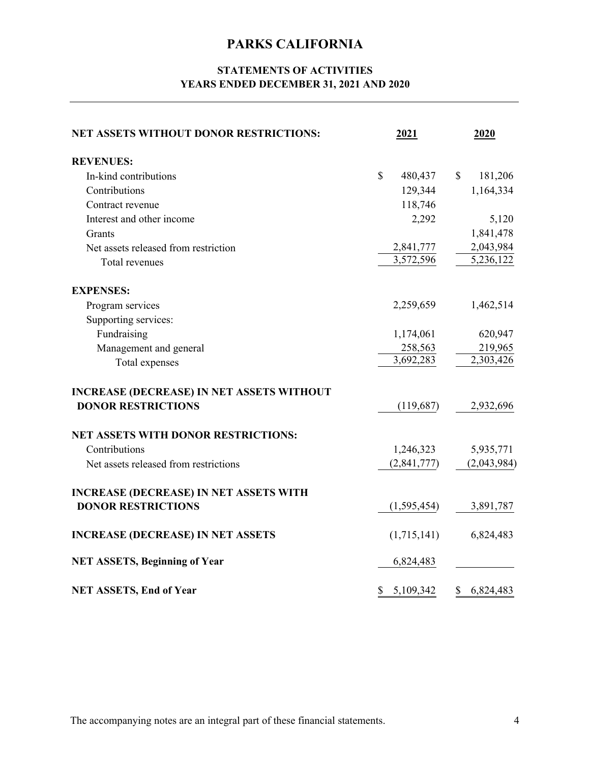## **STATEMENTS OF ACTIVITIES YEARS ENDED DECEMBER 31, 2021 AND 2020**

| <b>NET ASSETS WITHOUT DONOR RESTRICTIONS:</b>    | 2021            | 2020                     |
|--------------------------------------------------|-----------------|--------------------------|
| <b>REVENUES:</b>                                 |                 |                          |
| In-kind contributions                            | \$<br>480,437   | 181,206<br><sup>\$</sup> |
| Contributions                                    | 129,344         | 1,164,334                |
| Contract revenue                                 | 118,746         |                          |
| Interest and other income                        | 2,292           | 5,120                    |
| Grants                                           |                 | 1,841,478                |
| Net assets released from restriction             | 2,841,777       | 2,043,984                |
| Total revenues                                   | 3,572,596       | 5,236,122                |
| <b>EXPENSES:</b>                                 |                 |                          |
| Program services                                 | 2,259,659       | 1,462,514                |
| Supporting services:                             |                 |                          |
| Fundraising                                      | 1,174,061       | 620,947                  |
| Management and general                           | 258,563         | 219,965                  |
| Total expenses                                   | 3,692,283       | 2,303,426                |
| <b>INCREASE (DECREASE) IN NET ASSETS WITHOUT</b> |                 |                          |
| <b>DONOR RESTRICTIONS</b>                        | (119,687)       | 2,932,696                |
| <b>NET ASSETS WITH DONOR RESTRICTIONS:</b>       |                 |                          |
| Contributions                                    | 1,246,323       | 5,935,771                |
| Net assets released from restrictions            | (2,841,777)     | (2,043,984)              |
| <b>INCREASE (DECREASE) IN NET ASSETS WITH</b>    |                 |                          |
| <b>DONOR RESTRICTIONS</b>                        | (1,595,454)     | 3,891,787                |
| <b>INCREASE (DECREASE) IN NET ASSETS</b>         | (1,715,141)     | 6,824,483                |
| <b>NET ASSETS, Beginning of Year</b>             | 6,824,483       |                          |
| <b>NET ASSETS, End of Year</b>                   | \$<br>5,109,342 | \$<br>6,824,483          |

The accompanying notes are an integral part of these financial statements. 4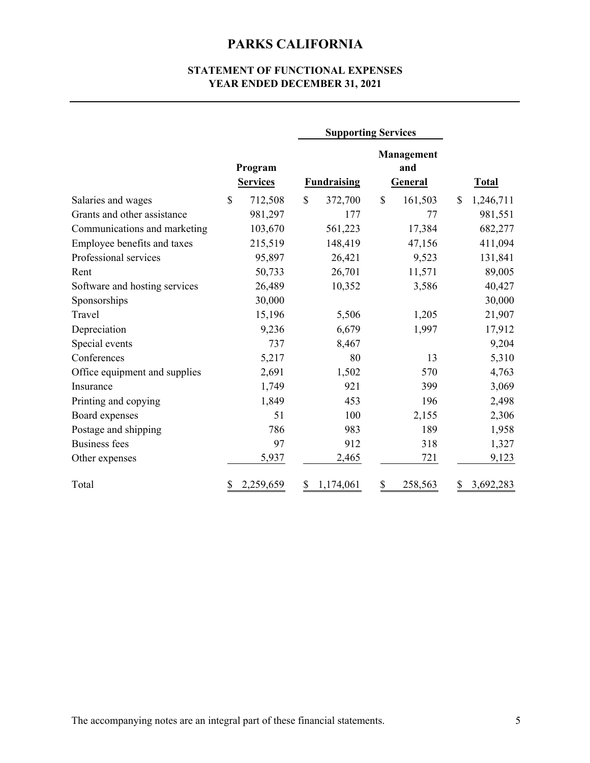## **STATEMENT OF FUNCTIONAL EXPENSES YEAR ENDED DECEMBER 31, 2021**

|                               |                            | <b>Supporting Services</b> |                                     |                 |
|-------------------------------|----------------------------|----------------------------|-------------------------------------|-----------------|
|                               | Program<br><b>Services</b> | <b>Fundraising</b>         | Management<br>and<br><b>General</b> | <b>Total</b>    |
| Salaries and wages            | \$<br>712,508              | \$<br>372,700              | \$<br>161,503                       | 1,246,711<br>\$ |
| Grants and other assistance   | 981,297                    | 177                        | 77                                  | 981,551         |
| Communications and marketing  | 103,670                    | 561,223                    | 17,384                              | 682,277         |
| Employee benefits and taxes   | 215,519                    | 148,419                    | 47,156                              | 411,094         |
| Professional services         | 95,897                     | 26,421                     | 9,523                               | 131,841         |
| Rent                          | 50,733                     | 26,701                     | 11,571                              | 89,005          |
| Software and hosting services | 26,489                     | 10,352                     | 3,586                               | 40,427          |
| Sponsorships                  | 30,000                     |                            |                                     | 30,000          |
| Travel                        | 15,196                     | 5,506                      | 1,205                               | 21,907          |
| Depreciation                  | 9,236                      | 6,679                      | 1,997                               | 17,912          |
| Special events                | 737                        | 8,467                      |                                     | 9,204           |
| Conferences                   | 5,217                      | 80                         | 13                                  | 5,310           |
| Office equipment and supplies | 2,691                      | 1,502                      | 570                                 | 4,763           |
| Insurance                     | 1,749                      | 921                        | 399                                 | 3,069           |
| Printing and copying          | 1,849                      | 453                        | 196                                 | 2,498           |
| Board expenses                | 51                         | 100                        | 2,155                               | 2,306           |
| Postage and shipping          | 786                        | 983                        | 189                                 | 1,958           |
| <b>Business fees</b>          | 97                         | 912                        | 318                                 | 1,327           |
| Other expenses                | 5,937                      | 2,465                      | 721                                 | 9,123           |
| Total                         | 2,259,659<br>\$            | 1,174,061<br>\$            | \$<br>258,563                       | \$<br>3,692,283 |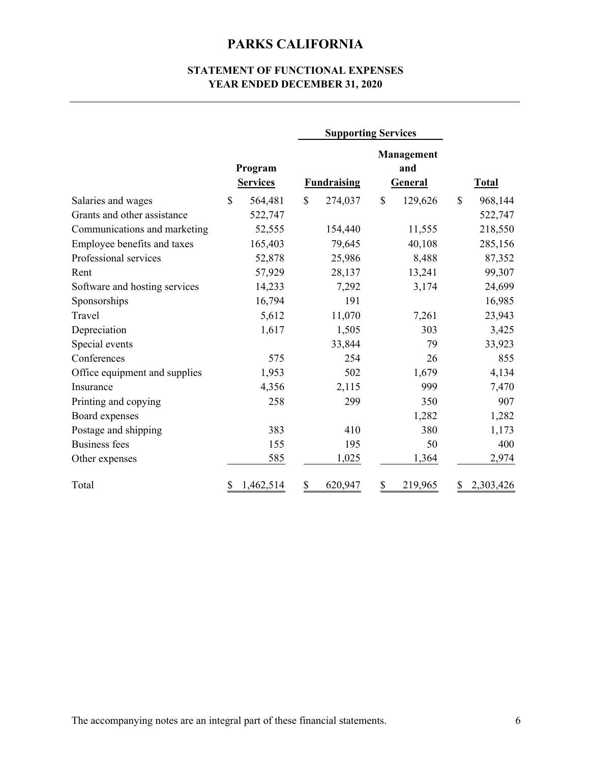### **STATEMENT OF FUNCTIONAL EXPENSES YEAR ENDED DECEMBER 31, 2020**

|                               |                            | <b>Supporting Services</b> |                                     |                 |
|-------------------------------|----------------------------|----------------------------|-------------------------------------|-----------------|
|                               | Program<br><b>Services</b> | <b>Fundraising</b>         | <b>Management</b><br>and<br>General | <b>Total</b>    |
| Salaries and wages            | \$<br>564,481              | $\mathbf S$<br>274,037     | $\mathcal{S}$<br>129,626            | \$<br>968,144   |
| Grants and other assistance   | 522,747                    |                            |                                     | 522,747         |
| Communications and marketing  | 52,555                     | 154,440                    | 11,555                              | 218,550         |
| Employee benefits and taxes   | 165,403                    | 79,645                     | 40,108                              | 285,156         |
| Professional services         | 52,878                     | 25,986                     | 8,488                               | 87,352          |
| Rent                          | 57,929                     | 28,137                     | 13,241                              | 99,307          |
| Software and hosting services | 14,233                     | 7,292                      | 3,174                               | 24,699          |
| Sponsorships                  | 16,794                     | 191                        |                                     | 16,985          |
| Travel                        | 5,612                      | 11,070                     | 7,261                               | 23,943          |
| Depreciation                  | 1,617                      | 1,505                      | 303                                 | 3,425           |
| Special events                |                            | 33,844                     | 79                                  | 33,923          |
| Conferences                   | 575                        | 254                        | 26                                  | 855             |
| Office equipment and supplies | 1,953                      | 502                        | 1,679                               | 4,134           |
| Insurance                     | 4,356                      | 2,115                      | 999                                 | 7,470           |
| Printing and copying          | 258                        | 299                        | 350                                 | 907             |
| Board expenses                |                            |                            | 1,282                               | 1,282           |
| Postage and shipping          | 383                        | 410                        | 380                                 | 1,173           |
| <b>Business fees</b>          | 155                        | 195                        | 50                                  | 400             |
| Other expenses                | 585                        | 1,025                      | 1,364                               | 2,974           |
| Total                         | \$<br>1,462,514            | \$<br>620,947              | \$<br>219,965                       | 2,303,426<br>\$ |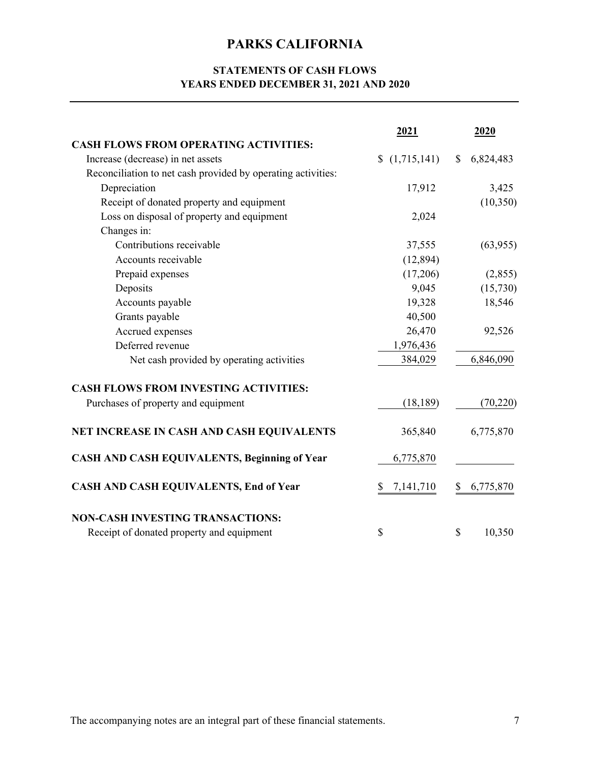## **STATEMENTS OF CASH FLOWS YEARS ENDED DECEMBER 31, 2021 AND 2020**

|                                                              | 2021                          | 2020            |
|--------------------------------------------------------------|-------------------------------|-----------------|
| <b>CASH FLOWS FROM OPERATING ACTIVITIES:</b>                 |                               |                 |
| Increase (decrease) in net assets                            | (1,715,141)<br>$\mathbb{S}^-$ | 6,824,483<br>\$ |
| Reconciliation to net cash provided by operating activities: |                               |                 |
| Depreciation                                                 | 17,912                        | 3,425           |
| Receipt of donated property and equipment                    |                               | (10, 350)       |
| Loss on disposal of property and equipment                   | 2,024                         |                 |
| Changes in:                                                  |                               |                 |
| Contributions receivable                                     | 37,555                        | (63,955)        |
| Accounts receivable                                          | (12, 894)                     |                 |
| Prepaid expenses                                             | (17,206)                      | (2,855)         |
| Deposits                                                     | 9,045                         | (15,730)        |
| Accounts payable                                             | 19,328                        | 18,546          |
| Grants payable                                               | 40,500                        |                 |
| Accrued expenses                                             | 26,470                        | 92,526          |
| Deferred revenue                                             | 1,976,436                     |                 |
| Net cash provided by operating activities                    | 384,029                       | 6,846,090       |
| <b>CASH FLOWS FROM INVESTING ACTIVITIES:</b>                 |                               |                 |
| Purchases of property and equipment                          | (18, 189)                     | (70, 220)       |
| NET INCREASE IN CASH AND CASH EQUIVALENTS                    | 365,840                       | 6,775,870       |
| <b>CASH AND CASH EQUIVALENTS, Beginning of Year</b>          | 6,775,870                     |                 |
| <b>CASH AND CASH EQUIVALENTS, End of Year</b>                | 7,141,710<br>\$               | 6,775,870<br>\$ |
| <b>NON-CASH INVESTING TRANSACTIONS:</b>                      |                               |                 |
| Receipt of donated property and equipment                    | \$                            | \$<br>10,350    |

The accompanying notes are an integral part of these financial statements.  $7 \overline{2}$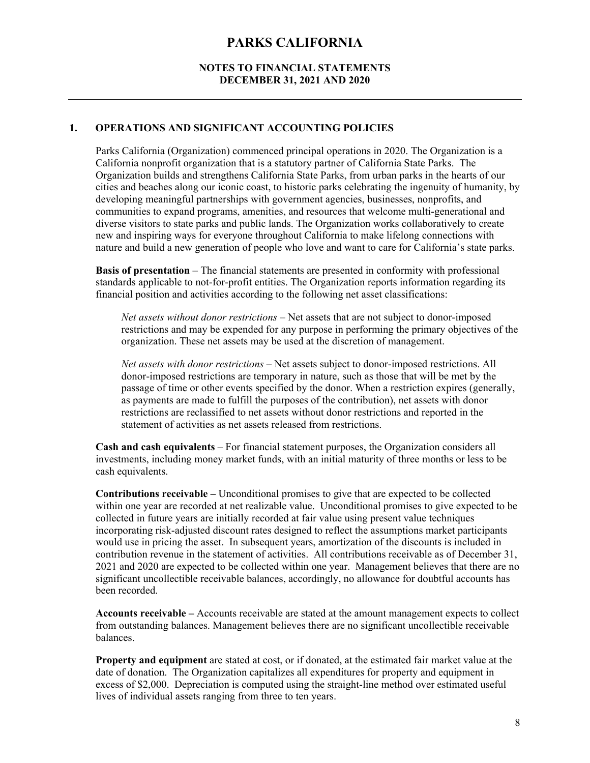#### **NOTES TO FINANCIAL STATEMENTS DECEMBER 31, 2021 AND 2020**

#### **1. OPERATIONS AND SIGNIFICANT ACCOUNTING POLICIES**

Parks California (Organization) commenced principal operations in 2020. The Organization is a California nonprofit organization that is a statutory partner of California State Parks. The Organization builds and strengthens California State Parks, from urban parks in the hearts of our cities and beaches along our iconic coast, to historic parks celebrating the ingenuity of humanity, by developing meaningful partnerships with government agencies, businesses, nonprofits, and communities to expand programs, amenities, and resources that welcome multi-generational and diverse visitors to state parks and public lands. The Organization works collaboratively to create new and inspiring ways for everyone throughout California to make lifelong connections with nature and build a new generation of people who love and want to care for California's state parks.

**Basis of presentation** – The financial statements are presented in conformity with professional standards applicable to not-for-profit entities. The Organization reports information regarding its financial position and activities according to the following net asset classifications:

*Net assets without donor restrictions* – Net assets that are not subject to donor-imposed restrictions and may be expended for any purpose in performing the primary objectives of the organization. These net assets may be used at the discretion of management.

*Net assets with donor restrictions* – Net assets subject to donor-imposed restrictions. All donor-imposed restrictions are temporary in nature, such as those that will be met by the passage of time or other events specified by the donor. When a restriction expires (generally, as payments are made to fulfill the purposes of the contribution), net assets with donor restrictions are reclassified to net assets without donor restrictions and reported in the statement of activities as net assets released from restrictions.

**Cash and cash equivalents** – For financial statement purposes, the Organization considers all investments, including money market funds, with an initial maturity of three months or less to be cash equivalents.

**Contributions receivable –** Unconditional promises to give that are expected to be collected within one year are recorded at net realizable value. Unconditional promises to give expected to be collected in future years are initially recorded at fair value using present value techniques incorporating risk-adjusted discount rates designed to reflect the assumptions market participants would use in pricing the asset. In subsequent years, amortization of the discounts is included in contribution revenue in the statement of activities. All contributions receivable as of December 31, 2021 and 2020 are expected to be collected within one year. Management believes that there are no significant uncollectible receivable balances, accordingly, no allowance for doubtful accounts has been recorded.

**Accounts receivable –** Accounts receivable are stated at the amount management expects to collect from outstanding balances. Management believes there are no significant uncollectible receivable balances.

**Property and equipment** are stated at cost, or if donated, at the estimated fair market value at the date of donation. The Organization capitalizes all expenditures for property and equipment in excess of \$2,000. Depreciation is computed using the straight-line method over estimated useful lives of individual assets ranging from three to ten years.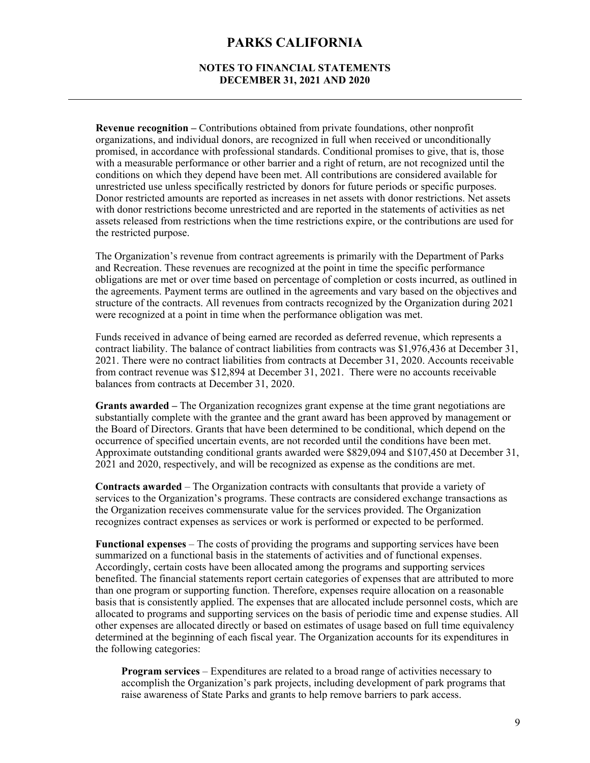#### **NOTES TO FINANCIAL STATEMENTS DECEMBER 31, 2021 AND 2020**

**Revenue recognition –** Contributions obtained from private foundations, other nonprofit organizations, and individual donors, are recognized in full when received or unconditionally promised, in accordance with professional standards. Conditional promises to give, that is, those with a measurable performance or other barrier and a right of return, are not recognized until the conditions on which they depend have been met. All contributions are considered available for unrestricted use unless specifically restricted by donors for future periods or specific purposes. Donor restricted amounts are reported as increases in net assets with donor restrictions. Net assets with donor restrictions become unrestricted and are reported in the statements of activities as net assets released from restrictions when the time restrictions expire, or the contributions are used for the restricted purpose.

The Organization's revenue from contract agreements is primarily with the Department of Parks and Recreation. These revenues are recognized at the point in time the specific performance obligations are met or over time based on percentage of completion or costs incurred, as outlined in the agreements. Payment terms are outlined in the agreements and vary based on the objectives and structure of the contracts. All revenues from contracts recognized by the Organization during 2021 were recognized at a point in time when the performance obligation was met.

Funds received in advance of being earned are recorded as deferred revenue, which represents a contract liability. The balance of contract liabilities from contracts was \$1,976,436 at December 31, 2021. There were no contract liabilities from contracts at December 31, 2020. Accounts receivable from contract revenue was \$12,894 at December 31, 2021. There were no accounts receivable balances from contracts at December 31, 2020.

**Grants awarded –** The Organization recognizes grant expense at the time grant negotiations are substantially complete with the grantee and the grant award has been approved by management or the Board of Directors. Grants that have been determined to be conditional, which depend on the occurrence of specified uncertain events, are not recorded until the conditions have been met. Approximate outstanding conditional grants awarded were \$829,094 and \$107,450 at December 31, 2021 and 2020, respectively, and will be recognized as expense as the conditions are met.

**Contracts awarded** – The Organization contracts with consultants that provide a variety of services to the Organization's programs. These contracts are considered exchange transactions as the Organization receives commensurate value for the services provided. The Organization recognizes contract expenses as services or work is performed or expected to be performed.

**Functional expenses** – The costs of providing the programs and supporting services have been summarized on a functional basis in the statements of activities and of functional expenses. Accordingly, certain costs have been allocated among the programs and supporting services benefited. The financial statements report certain categories of expenses that are attributed to more than one program or supporting function. Therefore, expenses require allocation on a reasonable basis that is consistently applied. The expenses that are allocated include personnel costs, which are allocated to programs and supporting services on the basis of periodic time and expense studies. All other expenses are allocated directly or based on estimates of usage based on full time equivalency determined at the beginning of each fiscal year. The Organization accounts for its expenditures in the following categories:

**Program services** – Expenditures are related to a broad range of activities necessary to accomplish the Organization's park projects, including development of park programs that raise awareness of State Parks and grants to help remove barriers to park access.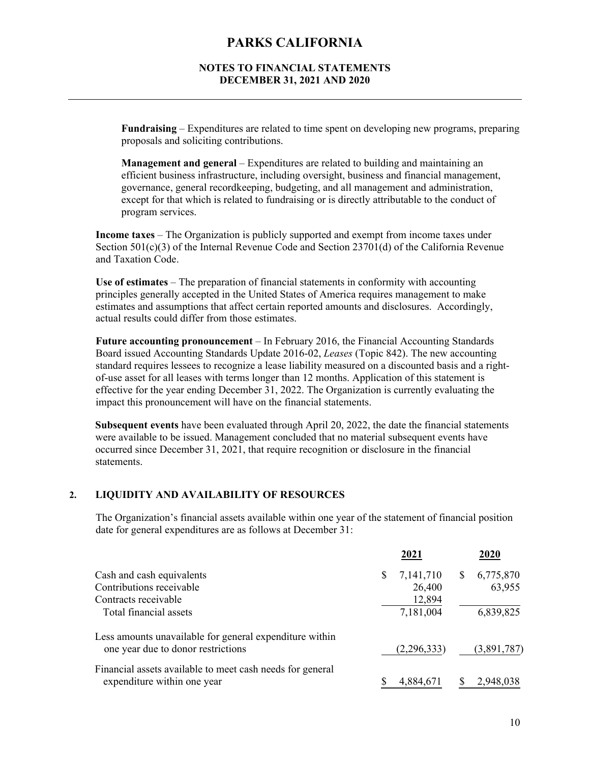#### **NOTES TO FINANCIAL STATEMENTS DECEMBER 31, 2021 AND 2020**

**Fundraising** – Expenditures are related to time spent on developing new programs, preparing proposals and soliciting contributions.

**Management and general** – Expenditures are related to building and maintaining an efficient business infrastructure, including oversight, business and financial management, governance, general recordkeeping, budgeting, and all management and administration, except for that which is related to fundraising or is directly attributable to the conduct of program services.

**Income taxes** – The Organization is publicly supported and exempt from income taxes under Section  $501(c)(3)$  of the Internal Revenue Code and Section 23701(d) of the California Revenue and Taxation Code.

**Use of estimates** – The preparation of financial statements in conformity with accounting principles generally accepted in the United States of America requires management to make estimates and assumptions that affect certain reported amounts and disclosures. Accordingly, actual results could differ from those estimates.

**Future accounting pronouncement** – In February 2016, the Financial Accounting Standards Board issued Accounting Standards Update 2016-02, *Leases* (Topic 842). The new accounting standard requires lessees to recognize a lease liability measured on a discounted basis and a rightof-use asset for all leases with terms longer than 12 months. Application of this statement is effective for the year ending December 31, 2022. The Organization is currently evaluating the impact this pronouncement will have on the financial statements.

**Subsequent events** have been evaluated through April 20, 2022, the date the financial statements were available to be issued. Management concluded that no material subsequent events have occurred since December 31, 2021, that require recognition or disclosure in the financial statements.

#### **2. LIQUIDITY AND AVAILABILITY OF RESOURCES**

The Organization's financial assets available within one year of the statement of financial position date for general expenditures are as follows at December 31:

|                                                                                               | 2021            | 2020                      |
|-----------------------------------------------------------------------------------------------|-----------------|---------------------------|
| Cash and cash equivalents                                                                     | 7,141,710<br>S. | 6,775,870<br><sup>S</sup> |
| Contributions receivable                                                                      | 26,400          | 63,955                    |
| Contracts receivable                                                                          | 12,894          |                           |
| Total financial assets                                                                        | 7,181,004       | 6,839,825                 |
| Less amounts unavailable for general expenditure within<br>one year due to donor restrictions | (2,296,333)     | (3,891,787)               |
| Financial assets available to meet cash needs for general<br>expenditure within one year      | 4,884,671       | 2,948,038<br>S            |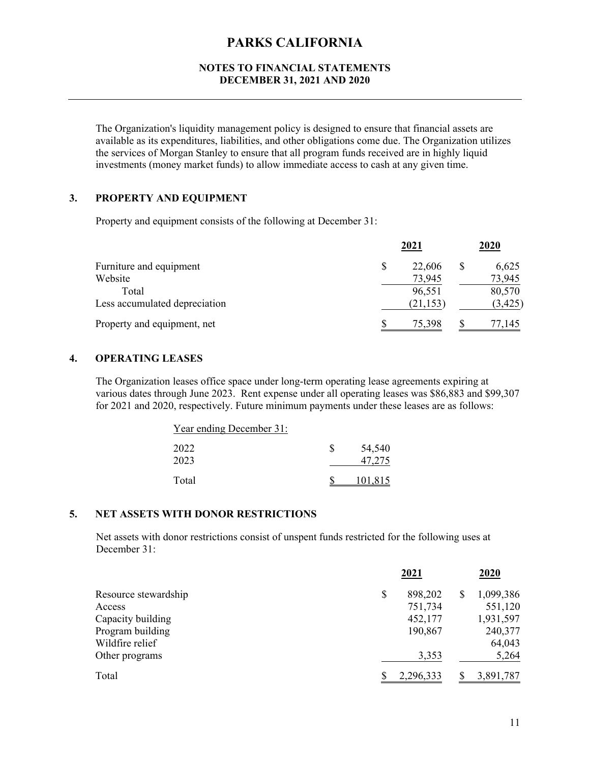#### **NOTES TO FINANCIAL STATEMENTS DECEMBER 31, 2021 AND 2020**

The Organization's liquidity management policy is designed to ensure that financial assets are available as its expenditures, liabilities, and other obligations come due. The Organization utilizes the services of Morgan Stanley to ensure that all program funds received are in highly liquid investments (money market funds) to allow immediate access to cash at any given time.

### **3. PROPERTY AND EQUIPMENT**

Property and equipment consists of the following at December 31:

|                               |    | 2021      |   | 2020     |
|-------------------------------|----|-----------|---|----------|
| Furniture and equipment       | \$ | 22,606    | S | 6,625    |
| Website                       |    | 73,945    |   | 73,945   |
| Total                         |    | 96,551    |   | 80,570   |
| Less accumulated depreciation |    | (21, 153) |   | (3, 425) |
| Property and equipment, net   | S  | 75,398    |   | 77,145   |

### **4. OPERATING LEASES**

The Organization leases office space under long-term operating lease agreements expiring at various dates through June 2023. Rent expense under all operating leases was \$86,883 and \$99,307 for 2021 and 2020, respectively. Future minimum payments under these leases are as follows:

| Year ending December 31: |         |
|--------------------------|---------|
| 2022                     | 54,540  |
| 2023                     | 47,275  |
| Total                    | 101,815 |

#### **5. NET ASSETS WITH DONOR RESTRICTIONS**

Net assets with donor restrictions consist of unspent funds restricted for the following uses at December 31:

|                      | 2021          | 2020           |
|----------------------|---------------|----------------|
| Resource stewardship | \$<br>898,202 | 1,099,386<br>S |
| Access               | 751,734       | 551,120        |
| Capacity building    | 452,177       | 1,931,597      |
| Program building     | 190,867       | 240,377        |
| Wildfire relief      |               | 64,043         |
| Other programs       | 3,353         | 5,264          |
| Total                | 2,296,333     | 3,891,787      |